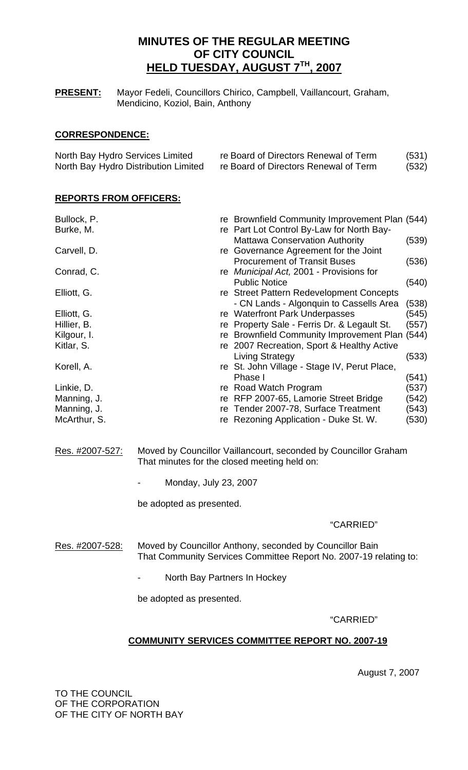# **MINUTES OF THE REGULAR MEETING OF CITY COUNCIL HELD TUESDAY, AUGUST 7TH, 2007**

**PRESENT:** Mayor Fedeli, Councillors Chirico, Campbell, Vaillancourt, Graham, Mendicino, Koziol, Bain, Anthony

## **CORRESPONDENCE:**

| North Bay Hydro Services Limited     | re Board of Directors Renewal of Term | (531) |
|--------------------------------------|---------------------------------------|-------|
| North Bay Hydro Distribution Limited | re Board of Directors Renewal of Term | (532) |

# **REPORTS FROM OFFICERS:**

| re Brownfield Community Improvement Plan (544)<br>re Part Lot Control By-Law for North Bay- |
|---------------------------------------------------------------------------------------------|
| <b>Mattawa Conservation Authority</b><br>(539)                                              |
| re Governance Agreement for the Joint                                                       |
| <b>Procurement of Transit Buses</b><br>(536)                                                |
| re Municipal Act, 2001 - Provisions for                                                     |
| <b>Public Notice</b><br>(540)                                                               |
| re Street Pattern Redevelopment Concepts                                                    |
| - CN Lands - Algonquin to Cassells Area<br>(538)                                            |
| (545)<br>re Waterfront Park Underpasses                                                     |
| re Property Sale - Ferris Dr. & Legault St.<br>(557)                                        |
| re Brownfield Community Improvement Plan (544)                                              |
| re 2007 Recreation, Sport & Healthy Active                                                  |
| <b>Living Strategy</b><br>(533)                                                             |
| re St. John Village - Stage IV, Perut Place,                                                |
| Phase I<br>(541)                                                                            |
| re Road Watch Program<br>(537)                                                              |
| re RFP 2007-65, Lamorie Street Bridge<br>(542)                                              |
| (543)<br>Tender 2007-78, Surface Treatment                                                  |
| (530)<br>re Rezoning Application - Duke St. W.                                              |
|                                                                                             |

- Res. #2007-527: Moved by Councillor Vaillancourt, seconded by Councillor Graham That minutes for the closed meeting held on:
	- Monday, July 23, 2007

be adopted as presented.

## "CARRIED"

- Res. #2007-528: Moved by Councillor Anthony, seconded by Councillor Bain That Community Services Committee Report No. 2007-19 relating to:
	- North Bay Partners In Hockey

be adopted as presented.

"CARRIED"

# **COMMUNITY SERVICES COMMITTEE REPORT NO. 2007-19**

August 7, 2007

TO THE COUNCIL OF THE CORPORATION OF THE CITY OF NORTH BAY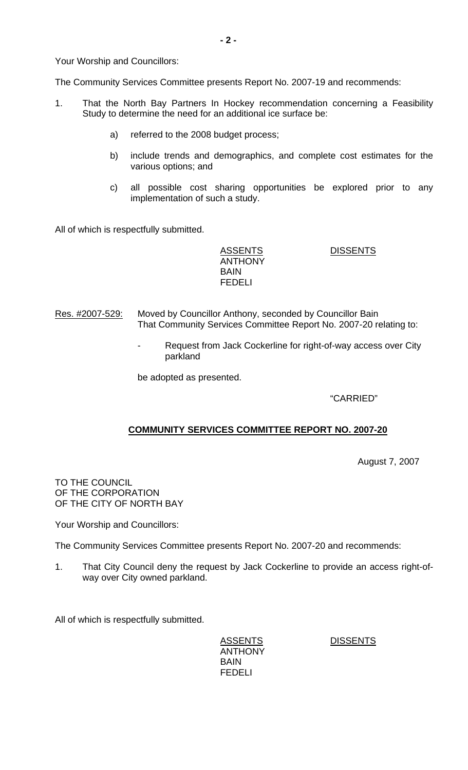Your Worship and Councillors:

The Community Services Committee presents Report No. 2007-19 and recommends:

- 1. That the North Bay Partners In Hockey recommendation concerning a Feasibility Study to determine the need for an additional ice surface be:
	- a) referred to the 2008 budget process;
	- b) include trends and demographics, and complete cost estimates for the various options; and
	- c) all possible cost sharing opportunities be explored prior to any implementation of such a study.

All of which is respectfully submitted.

ASSENTS DISSENTS ANTHONY BAIN FEDELI

- Res. #2007-529: Moved by Councillor Anthony, seconded by Councillor Bain That Community Services Committee Report No. 2007-20 relating to:
	- Request from Jack Cockerline for right-of-way access over City parkland

be adopted as presented.

"CARRIED"

# **COMMUNITY SERVICES COMMITTEE REPORT NO. 2007-20**

August 7, 2007

TO THE COUNCIL OF THE CORPORATION OF THE CITY OF NORTH BAY

Your Worship and Councillors:

The Community Services Committee presents Report No. 2007-20 and recommends:

1. That City Council deny the request by Jack Cockerline to provide an access right-ofway over City owned parkland.

All of which is respectfully submitted.

ASSENTS DISSENTS ANTHONY BAIN FEDELI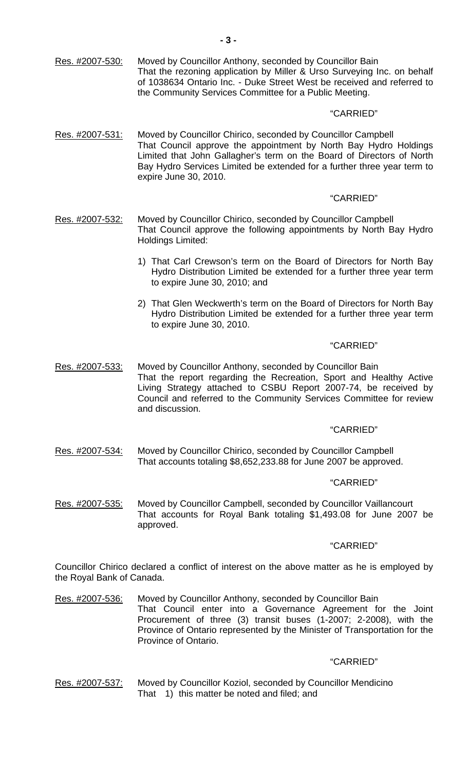Res. #2007-530: Moved by Councillor Anthony, seconded by Councillor Bain That the rezoning application by Miller & Urso Surveying Inc. on behalf of 1038634 Ontario Inc. - Duke Street West be received and referred to the Community Services Committee for a Public Meeting.

## "CARRIED"

Res. #2007-531: Moved by Councillor Chirico, seconded by Councillor Campbell That Council approve the appointment by North Bay Hydro Holdings Limited that John Gallagher's term on the Board of Directors of North Bay Hydro Services Limited be extended for a further three year term to expire June 30, 2010.

## "CARRIED"

- Res. #2007-532: Moved by Councillor Chirico, seconded by Councillor Campbell That Council approve the following appointments by North Bay Hydro Holdings Limited:
	- 1) That Carl Crewson's term on the Board of Directors for North Bay Hydro Distribution Limited be extended for a further three year term to expire June 30, 2010; and
	- 2) That Glen Weckwerth's term on the Board of Directors for North Bay Hydro Distribution Limited be extended for a further three year term to expire June 30, 2010.

## "CARRIED"

Res. #2007-533: Moved by Councillor Anthony, seconded by Councillor Bain That the report regarding the Recreation, Sport and Healthy Active Living Strategy attached to CSBU Report 2007-74, be received by Council and referred to the Community Services Committee for review and discussion.

# "CARRIED"

Res. #2007-534: Moved by Councillor Chirico, seconded by Councillor Campbell That accounts totaling \$8,652,233.88 for June 2007 be approved.

## "CARRIED"

Res. #2007-535: Moved by Councillor Campbell, seconded by Councillor Vaillancourt That accounts for Royal Bank totaling \$1,493.08 for June 2007 be approved.

## "CARRIED"

Councillor Chirico declared a conflict of interest on the above matter as he is employed by the Royal Bank of Canada.

Res. #2007-536: Moved by Councillor Anthony, seconded by Councillor Bain That Council enter into a Governance Agreement for the Joint Procurement of three (3) transit buses (1-2007; 2-2008), with the Province of Ontario represented by the Minister of Transportation for the Province of Ontario.

## "CARRIED"

Res. #2007-537: Moved by Councillor Koziol, seconded by Councillor Mendicino That 1) this matter be noted and filed; and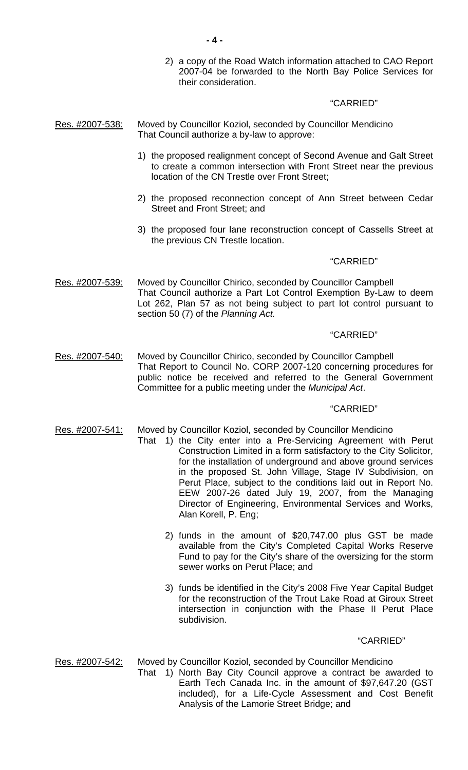2) a copy of the Road Watch information attached to CAO Report 2007-04 be forwarded to the North Bay Police Services for their consideration.

#### "CARRIED"

- Res. #2007-538: Moved by Councillor Koziol, seconded by Councillor Mendicino That Council authorize a by-law to approve:
	- 1) the proposed realignment concept of Second Avenue and Galt Street to create a common intersection with Front Street near the previous location of the CN Trestle over Front Street;
	- 2) the proposed reconnection concept of Ann Street between Cedar Street and Front Street; and
	- 3) the proposed four lane reconstruction concept of Cassells Street at the previous CN Trestle location.

## "CARRIED"

Res. #2007-539: Moved by Councillor Chirico, seconded by Councillor Campbell That Council authorize a Part Lot Control Exemption By-Law to deem Lot 262, Plan 57 as not being subject to part lot control pursuant to section 50 (7) of the *Planning Act.*

## "CARRIED"

Res. #2007-540: Moved by Councillor Chirico, seconded by Councillor Campbell That Report to Council No. CORP 2007-120 concerning procedures for public notice be received and referred to the General Government Committee for a public meeting under the *Municipal Act*.

#### "CARRIED"

- Res. #2007-541: Moved by Councillor Koziol, seconded by Councillor Mendicino
	- That 1) the City enter into a Pre-Servicing Agreement with Perut Construction Limited in a form satisfactory to the City Solicitor, for the installation of underground and above ground services in the proposed St. John Village, Stage IV Subdivision, on Perut Place, subject to the conditions laid out in Report No. EEW 2007-26 dated July 19, 2007, from the Managing Director of Engineering, Environmental Services and Works, Alan Korell, P. Eng;
		- 2) funds in the amount of \$20,747.00 plus GST be made available from the City's Completed Capital Works Reserve Fund to pay for the City's share of the oversizing for the storm sewer works on Perut Place; and
		- 3) funds be identified in the City's 2008 Five Year Capital Budget for the reconstruction of the Trout Lake Road at Giroux Street intersection in conjunction with the Phase II Perut Place subdivision.

#### "CARRIED"

- Res. #2007-542: Moved by Councillor Koziol, seconded by Councillor Mendicino
	- That 1) North Bay City Council approve a contract be awarded to Earth Tech Canada Inc. in the amount of \$97,647.20 (GST included), for a Life-Cycle Assessment and Cost Benefit Analysis of the Lamorie Street Bridge; and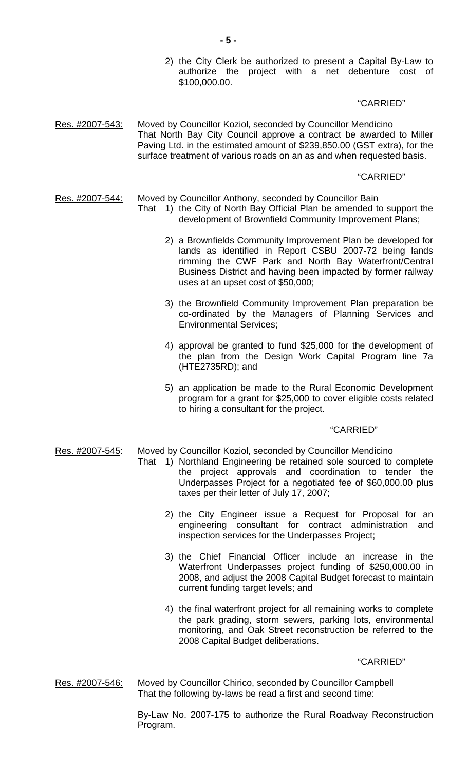2) the City Clerk be authorized to present a Capital By-Law to authorize the project with a net debenture cost of \$100,000.00.

### "CARRIED"

Res. #2007-543: Moved by Councillor Koziol, seconded by Councillor Mendicino That North Bay City Council approve a contract be awarded to Miller Paving Ltd. in the estimated amount of \$239,850.00 (GST extra), for the surface treatment of various roads on an as and when requested basis.

#### "CARRIED"

#### Res. #2007-544: Moved by Councillor Anthony, seconded by Councillor Bain

- That 1) the City of North Bay Official Plan be amended to support the development of Brownfield Community Improvement Plans;
	- 2) a Brownfields Community Improvement Plan be developed for lands as identified in Report CSBU 2007-72 being lands rimming the CWF Park and North Bay Waterfront/Central Business District and having been impacted by former railway uses at an upset cost of \$50,000;
	- 3) the Brownfield Community Improvement Plan preparation be co-ordinated by the Managers of Planning Services and Environmental Services;
	- 4) approval be granted to fund \$25,000 for the development of the plan from the Design Work Capital Program line 7a (HTE2735RD); and
	- 5) an application be made to the Rural Economic Development program for a grant for \$25,000 to cover eligible costs related to hiring a consultant for the project.

## "CARRIED"

Res. #2007-545: Moved by Councillor Koziol, seconded by Councillor Mendicino

- That 1) Northland Engineering be retained sole sourced to complete the project approvals and coordination to tender the Underpasses Project for a negotiated fee of \$60,000.00 plus taxes per their letter of July 17, 2007;
	- 2) the City Engineer issue a Request for Proposal for an engineering consultant for contract administration and inspection services for the Underpasses Project;
	- 3) the Chief Financial Officer include an increase in the Waterfront Underpasses project funding of \$250,000.00 in 2008, and adjust the 2008 Capital Budget forecast to maintain current funding target levels; and
	- 4) the final waterfront project for all remaining works to complete the park grading, storm sewers, parking lots, environmental monitoring, and Oak Street reconstruction be referred to the 2008 Capital Budget deliberations.

"CARRIED"

Res. #2007-546: Moved by Councillor Chirico, seconded by Councillor Campbell That the following by-laws be read a first and second time:

> By-Law No. 2007-175 to authorize the Rural Roadway Reconstruction Program.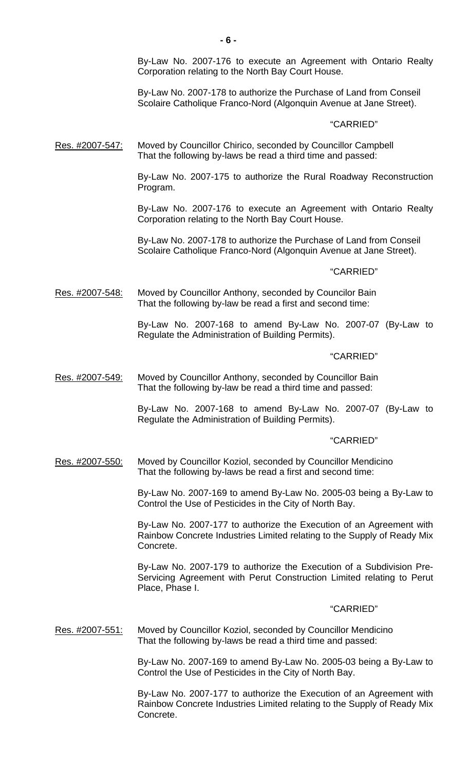By-Law No. 2007-176 to execute an Agreement with Ontario Realty Corporation relating to the North Bay Court House.

 By-Law No. 2007-178 to authorize the Purchase of Land from Conseil Scolaire Catholique Franco-Nord (Algonquin Avenue at Jane Street).

## "CARRIED"

Res. #2007-547: Moved by Councillor Chirico, seconded by Councillor Campbell That the following by-laws be read a third time and passed:

> By-Law No. 2007-175 to authorize the Rural Roadway Reconstruction Program.

> By-Law No. 2007-176 to execute an Agreement with Ontario Realty Corporation relating to the North Bay Court House.

 By-Law No. 2007-178 to authorize the Purchase of Land from Conseil Scolaire Catholique Franco-Nord (Algonquin Avenue at Jane Street).

#### "CARRIED"

Res. #2007-548: Moved by Councillor Anthony, seconded by Councilor Bain That the following by-law be read a first and second time:

> By-Law No. 2007-168 to amend By-Law No. 2007-07 (By-Law to Regulate the Administration of Building Permits).

#### "CARRIED"

Res. #2007-549: Moved by Councillor Anthony, seconded by Councillor Bain That the following by-law be read a third time and passed:

> By-Law No. 2007-168 to amend By-Law No. 2007-07 (By-Law to Regulate the Administration of Building Permits).

#### "CARRIED"

Res. #2007-550: Moved by Councillor Koziol, seconded by Councillor Mendicino That the following by-laws be read a first and second time:

> By-Law No. 2007-169 to amend By-Law No. 2005-03 being a By-Law to Control the Use of Pesticides in the City of North Bay.

> By-Law No. 2007-177 to authorize the Execution of an Agreement with Rainbow Concrete Industries Limited relating to the Supply of Ready Mix Concrete.

> By-Law No. 2007-179 to authorize the Execution of a Subdivision Pre-Servicing Agreement with Perut Construction Limited relating to Perut Place, Phase I.

## "CARRIED"

Res. #2007-551: Moved by Councillor Koziol, seconded by Councillor Mendicino That the following by-laws be read a third time and passed:

> By-Law No. 2007-169 to amend By-Law No. 2005-03 being a By-Law to Control the Use of Pesticides in the City of North Bay.

> By-Law No. 2007-177 to authorize the Execution of an Agreement with Rainbow Concrete Industries Limited relating to the Supply of Ready Mix Concrete.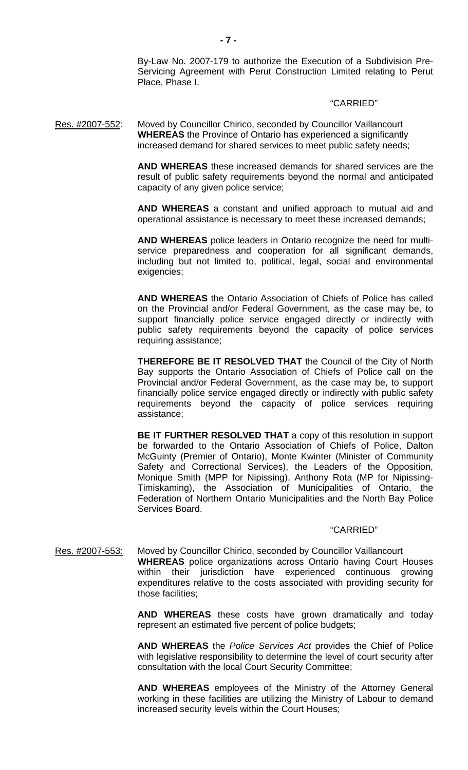By-Law No. 2007-179 to authorize the Execution of a Subdivision Pre-Servicing Agreement with Perut Construction Limited relating to Perut Place, Phase I.

#### "CARRIED"

Res. #2007-552: Moved by Councillor Chirico, seconded by Councillor Vaillancourt **WHEREAS** the Province of Ontario has experienced a significantly increased demand for shared services to meet public safety needs;

> **AND WHEREAS** these increased demands for shared services are the result of public safety requirements beyond the normal and anticipated capacity of any given police service;

> **AND WHEREAS** a constant and unified approach to mutual aid and operational assistance is necessary to meet these increased demands;

> **AND WHEREAS** police leaders in Ontario recognize the need for multiservice preparedness and cooperation for all significant demands, including but not limited to, political, legal, social and environmental exigencies;

> **AND WHEREAS** the Ontario Association of Chiefs of Police has called on the Provincial and/or Federal Government, as the case may be, to support financially police service engaged directly or indirectly with public safety requirements beyond the capacity of police services requiring assistance;

> **THEREFORE BE IT RESOLVED THAT** the Council of the City of North Bay supports the Ontario Association of Chiefs of Police call on the Provincial and/or Federal Government, as the case may be, to support financially police service engaged directly or indirectly with public safety requirements beyond the capacity of police services requiring assistance;

> **BE IT FURTHER RESOLVED THAT** a copy of this resolution in support be forwarded to the Ontario Association of Chiefs of Police, Dalton McGuinty (Premier of Ontario), Monte Kwinter (Minister of Community Safety and Correctional Services), the Leaders of the Opposition, Monique Smith (MPP for Nipissing), Anthony Rota (MP for Nipissing-Timiskaming), the Association of Municipalities of Ontario, the Federation of Northern Ontario Municipalities and the North Bay Police Services Board.

## "CARRIED"

Res. #2007-553: Moved by Councillor Chirico, seconded by Councillor Vaillancourt **WHEREAS** police organizations across Ontario having Court Houses within their jurisdiction have experienced continuous growing expenditures relative to the costs associated with providing security for those facilities;

> **AND WHEREAS** these costs have grown dramatically and today represent an estimated five percent of police budgets;

> **AND WHEREAS** the *Police Services Act* provides the Chief of Police with legislative responsibility to determine the level of court security after consultation with the local Court Security Committee;

> **AND WHEREAS** employees of the Ministry of the Attorney General working in these facilities are utilizing the Ministry of Labour to demand increased security levels within the Court Houses;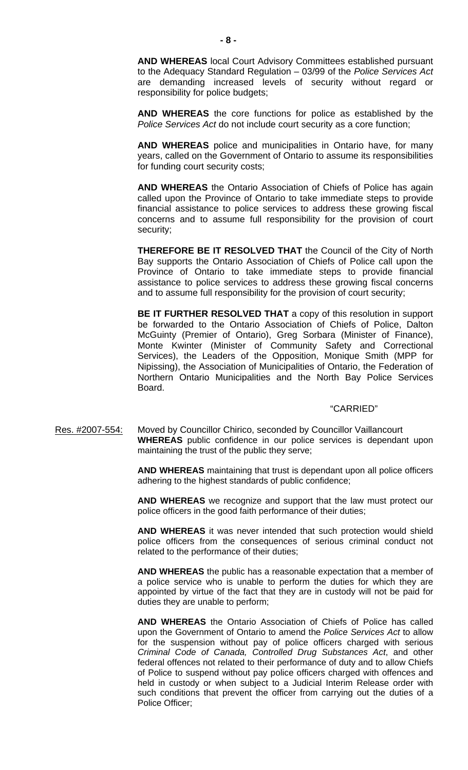**AND WHEREAS** local Court Advisory Committees established pursuant to the Adequacy Standard Regulation – 03/99 of the *Police Services Act* are demanding increased levels of security without regard or responsibility for police budgets;

**AND WHEREAS** the core functions for police as established by the *Police Services Act* do not include court security as a core function;

**AND WHEREAS** police and municipalities in Ontario have, for many years, called on the Government of Ontario to assume its responsibilities for funding court security costs;

**AND WHEREAS** the Ontario Association of Chiefs of Police has again called upon the Province of Ontario to take immediate steps to provide financial assistance to police services to address these growing fiscal concerns and to assume full responsibility for the provision of court security;

**THEREFORE BE IT RESOLVED THAT** the Council of the City of North Bay supports the Ontario Association of Chiefs of Police call upon the Province of Ontario to take immediate steps to provide financial assistance to police services to address these growing fiscal concerns and to assume full responsibility for the provision of court security;

**BE IT FURTHER RESOLVED THAT** a copy of this resolution in support be forwarded to the Ontario Association of Chiefs of Police, Dalton McGuinty (Premier of Ontario), Greg Sorbara (Minister of Finance), Monte Kwinter (Minister of Community Safety and Correctional Services), the Leaders of the Opposition, Monique Smith (MPP for Nipissing), the Association of Municipalities of Ontario, the Federation of Northern Ontario Municipalities and the North Bay Police Services Board.

#### "CARRIED"

Res. #2007-554: Moved by Councillor Chirico, seconded by Councillor Vaillancourt **WHEREAS** public confidence in our police services is dependant upon maintaining the trust of the public they serve;

> **AND WHEREAS** maintaining that trust is dependant upon all police officers adhering to the highest standards of public confidence;

> **AND WHEREAS** we recognize and support that the law must protect our police officers in the good faith performance of their duties;

> **AND WHEREAS** it was never intended that such protection would shield police officers from the consequences of serious criminal conduct not related to the performance of their duties;

> **AND WHEREAS** the public has a reasonable expectation that a member of a police service who is unable to perform the duties for which they are appointed by virtue of the fact that they are in custody will not be paid for duties they are unable to perform;

> **AND WHEREAS** the Ontario Association of Chiefs of Police has called upon the Government of Ontario to amend the *Police Services Act* to allow for the suspension without pay of police officers charged with serious *Criminal Code of Canada, Controlled Drug Substances Act*, and other federal offences not related to their performance of duty and to allow Chiefs of Police to suspend without pay police officers charged with offences and held in custody or when subject to a Judicial Interim Release order with such conditions that prevent the officer from carrying out the duties of a Police Officer;